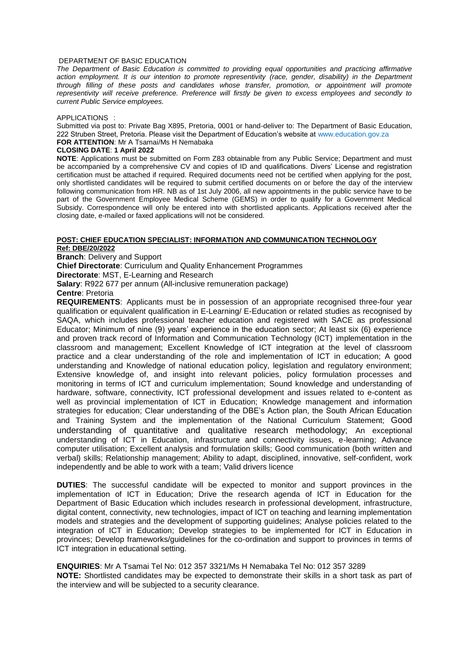### DEPARTMENT OF BASIC EDUCATION

*The Department of Basic Education is committed to providing equal opportunities and practicing affirmative action employment. It is our intention to promote representivity (race, gender, disability) in the Department through filling of these posts and candidates whose transfer, promotion, or appointment will promote representivity will receive preference. Preference will firstly be given to excess employees and secondly to current Public Service employees.* 

#### APPLICATIONS :

Submitted via post to: Private Bag X895, Pretoria, 0001 or hand-deliver to: The Department of Basic Education, 222 Struben Street, Pretoria. Please visit the Department of Education's website at www.education.gov.za **FOR ATTENTION**: Mr A Tsamai/Ms H Nemabaka

## **CLOSING DATE**: **1 April 2022**

**NOTE**: Applications must be submitted on Form Z83 obtainable from any Public Service; Department and must be accompanied by a comprehensive CV and copies of ID and qualifications. Divers' License and registration certification must be attached if required. Required documents need not be certified when applying for the post, only shortlisted candidates will be required to submit certified documents on or before the day of the interview following communication from HR. NB as of 1st July 2006, all new appointments in the public service have to be part of the Government Employee Medical Scheme (GEMS) in order to qualify for a Government Medical Subsidy. Correspondence will only be entered into with shortlisted applicants. Applications received after the closing date, e-mailed or faxed applications will not be considered.

### **POST: CHIEF EDUCATION SPECIALIST: INFORMATION AND COMMUNICATION TECHNOLOGY Ref: DBE/20/2022**

**Branch**: Delivery and Support

**Chief Directorate**: Curriculum and Quality Enhancement Programmes

**Directorate**: MST, E-Learning and Research

**Salary**: R922 677 per annum (All-inclusive remuneration package)

## **Centre**: Pretoria

**REQUIREMENTS**: Applicants must be in possession of an appropriate recognised three-four year qualification or equivalent qualification in E-Learning/ E-Education or related studies as recognised by SAQA, which includes professional teacher education and registered with SACE as professional Educator; Minimum of nine (9) years' experience in the education sector; At least six (6) experience and proven track record of Information and Communication Technology (ICT) implementation in the classroom and management; Excellent Knowledge of ICT integration at the level of classroom practice and a clear understanding of the role and implementation of ICT in education; A good understanding and Knowledge of national education policy, legislation and regulatory environment; Extensive knowledge of, and insight into relevant policies, policy formulation processes and monitoring in terms of ICT and curriculum implementation; Sound knowledge and understanding of hardware, software, connectivity, ICT professional development and issues related to e-content as well as provincial implementation of ICT in Education; Knowledge management and information strategies for education; Clear understanding of the DBE's Action plan, the South African Education and Training System and the implementation of the National Curriculum Statement; Good understanding of quantitative and qualitative research methodology; An exceptional understanding of ICT in Education, infrastructure and connectivity issues, e-learning; Advance computer utilisation; Excellent analysis and formulation skills; Good communication (both written and verbal) skills; Relationship management; Ability to adapt, disciplined, innovative, self-confident, work independently and be able to work with a team; Valid drivers licence

**DUTIES**: The successful candidate will be expected to monitor and support provinces in the implementation of ICT in Education; Drive the research agenda of ICT in Education for the Department of Basic Education which includes research in professional development, infrastructure, digital content, connectivity, new technologies, impact of ICT on teaching and learning implementation models and strategies and the development of supporting guidelines; Analyse policies related to the integration of ICT in Education; Develop strategies to be implemented for ICT in Education in provinces; Develop frameworks/guidelines for the co-ordination and support to provinces in terms of ICT integration in educational setting.

**ENQUIRIES**: Mr A Tsamai Tel No: 012 357 3321/Ms H Nemabaka Tel No: 012 357 3289 **NOTE:** Shortlisted candidates may be expected to demonstrate their skills in a short task as part of the interview and will be subjected to a security clearance.